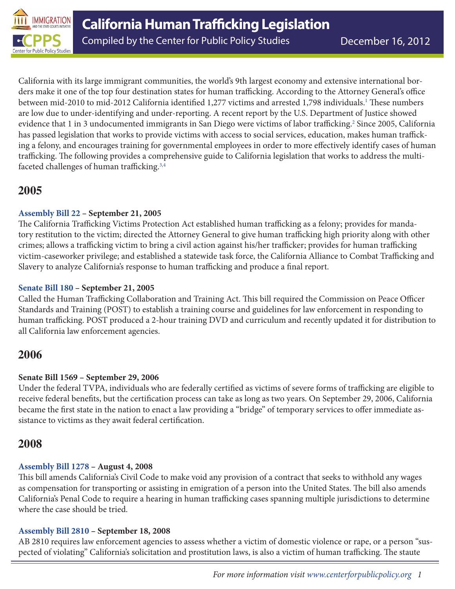

California with its large immigrant communities, the world's 9th largest economy and extensive international borders make it one of the top four destination states for human trafficking. According to the Attorney General's office between mid-2010 to mid-2012 California identified 1,277 victims and arrested 1,798 individuals.<sup>1</sup> These numbers are low due to under-identifying and under-reporting. A recent report by the U.S. Department of Justice showed evidence that 1 in 3 undocumented immigrants in San Diego were victims of labor trafficking.<sup>2</sup> Since 2005, California has passed legislation that works to provide victims with access to social services, education, makes human trafficking a felony, and encourages training for governmental employees in order to more effectively identify cases of human trafficking. The following provides a comprehensive guide to California legislation that works to address the multi-faceted challenges of human trafficking.<sup>[3,4](#page-4-1)</sup>

# **2005**

## **[Assembly Bill 22](http://www.leginfo.ca.gov/pub/05-06/bill/asm/ab_0001-0050/ab_22_bill_20050921_chaptered.pdf) – September 21, 2005**

The California Trafficking Victims Protection Act established human trafficking as a felony; provides for mandatory restitution to the victim; directed the Attorney General to give human trafficking high priority along with other crimes; allows a trafficking victim to bring a civil action against his/her trafficker; provides for human trafficking victim-caseworker privilege; and established a statewide task force, the California Alliance to Combat Trafficking and Slavery to analyze California's response to human trafficking and produce a final report.

### **[Senate Bill 180](http://www.leginfo.ca.gov/pub/05-06/bill/sen/sb_0151-0200/sb_180_bill_20050921_chaptered.pdf) – September 21, 2005**

Called the Human Trafficking Collaboration and Training Act. This bill required the Commission on Peace Officer Standards and Training (POST) to establish a training course and guidelines for law enforcement in responding to human trafficking. POST produced a 2-hour training DVD and curriculum and recently updated it for distribution to all California law enforcement agencies.

## **2006**

#### **Senate Bill 1569 – September 29, 2006**

Under the federal TVPA, individuals who are federally certified as victims of severe forms of trafficking are eligible to receive federal benefits, but the certification process can take as long as two years. On September 29, 2006, California became the first state in the nation to enact a law providing a "bridge" of temporary services to offer immediate assistance to victims as they await federal certification.

## **2008**

## **[Assembly Bill 1278](http://www.leginfo.ca.gov/pub/07-08/bill/asm/ab_1251-1300/ab_1278_bill_20080804_chaptered.pdf) – August 4, 2008**

This bill amends California's Civil Code to make void any provision of a contract that seeks to withhold any wages as compensation for transporting or assisting in emigration of a person into the United States. The bill also amends California's Penal Code to require a hearing in human trafficking cases spanning multiple jurisdictions to determine where the case should be tried.

#### **[Assembly Bill 2810](http://www.leginfo.ca.gov/pub/07-08/bill/asm/ab_2801-2850/ab_2810_bill_20080927_chaptered.pdf) – September 18, 2008**

AB 2810 requires law enforcement agencies to assess whether a victim of domestic violence or rape, or a person "suspected of violating" California's solicitation and prostitution laws, is also a victim of human trafficking. The staute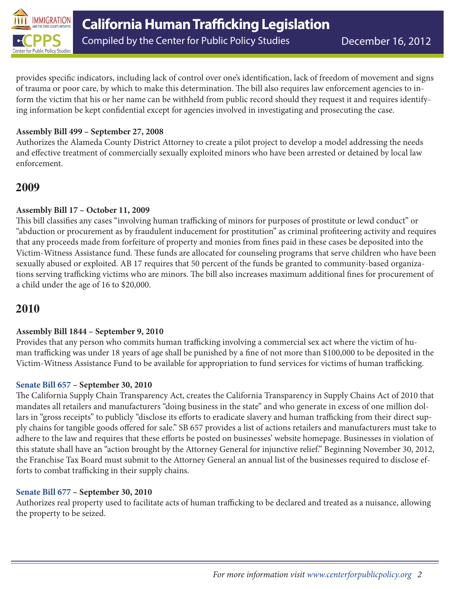

provides specific indicators, including lack of control over one's identification, lack of freedom of movement and signs of trauma or poor care, by which to make this determination. The bill also requires law enforcement agencies to inform the victim that his or her name can be withheld from public record should they request it and requires identifying information be kept confidential except for agencies involved in investigating and prosecuting the case.

#### **Assembly Bill 499 – September 27, 2008**

Authorizes the Alameda County District Attorney to create a pilot project to develop a model addressing the needs and effective treatment of commercially sexually exploited minors who have been arrested or detained by local law enforcement.

## **2009**

#### **Assembly Bill 17 – October 11, 2009**

This bill classifies any cases "involving human trafficking of minors for purposes of prostitute or lewd conduct" or "abduction or procurement as by fraudulent inducement for prostitution" as criminal profiteering activity and requires that any proceeds made from forfeiture of property and monies from fines paid in these cases be deposited into the Victim-Witness Assistance fund. These funds are allocated for counseling programs that serve children who have been sexually abused or exploited. AB 17 requires that 50 percent of the funds be granted to community-based organizations serving trafficking victims who are minors. The bill also increases maximum additional fines for procurement of a child under the age of 16 to \$20,000.

# **2010**

#### **Assembly Bill 1844 – September 9, 2010**

Provides that any person who commits human trafficking involving a commercial sex act where the victim of human trafficking was under 18 years of age shall be punished by a fine of not more than \$100,000 to be deposited in the Victim-Witness Assistance Fund to be available for appropriation to fund services for victims of human trafficking.

#### **[Senate Bill 657](http://info.sen.ca.gov/pub/09-10/bill/sen/sb_0651-0700/sb_657_bill_20100930_chaptered.pdf) – September 30, 2010**

The California Supply Chain Transparency Act, creates the California Transparency in Supply Chains Act of 2010 that mandates all retailers and manufacturers "doing business in the state" and who generate in excess of one million dollars in "gross receipts" to publicly "disclose its efforts to eradicate slavery and human trafficking from their direct supply chains for tangible goods offered for sale." SB 657 provides a list of actions retailers and manufacturers must take to adhere to the law and requires that these efforts be posted on businesses' website homepage. Businesses in violation of this statute shall have an "action brought by the Attorney General for injunctive relief." Beginning November 30, 2012, the Franchise Tax Board must submit to the Attorney General an annual list of the businesses required to disclose efforts to combat trafficking in their supply chains.

#### **[Senate Bill 677](http://info.sen.ca.gov/pub/09-10/bill/sen/sb_0651-0700/sb_677_bill_20100930_chaptered.pdf) – September 30, 2010**

Authorizes real property used to facilitate acts of human trafficking to be declared and treated as a nuisance, allowing the property to be seized.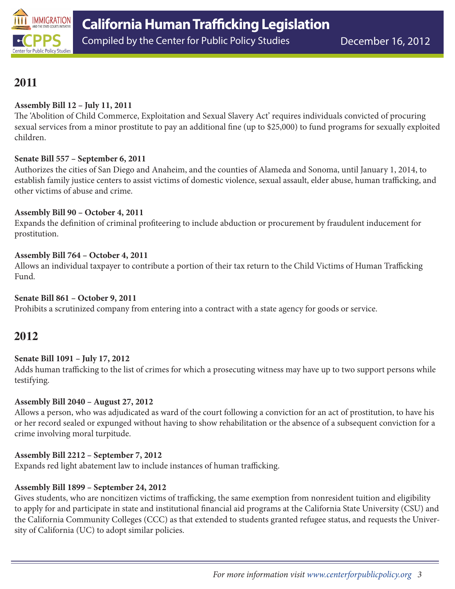

# **2011**

### **Assembly Bill 12 – July 11, 2011**

The 'Abolition of Child Commerce, Exploitation and Sexual Slavery Act' requires individuals convicted of procuring sexual services from a minor prostitute to pay an additional fine (up to \$25,000) to fund programs for sexually exploited children.

#### **Senate Bill 557 – September 6, 2011**

Authorizes the cities of San Diego and Anaheim, and the counties of Alameda and Sonoma, until January 1, 2014, to establish family justice centers to assist victims of domestic violence, sexual assault, elder abuse, human trafficking, and other victims of abuse and crime.

#### **Assembly Bill 90 – October 4, 2011**

Expands the definition of criminal profiteering to include abduction or procurement by fraudulent inducement for prostitution.

### **Assembly Bill 764 – October 4, 2011**

Allows an individual taxpayer to contribute a portion of their tax return to the Child Victims of Human Trafficking Fund.

#### **Senate Bill 861 – October 9, 2011**

Prohibits a scrutinized company from entering into a contract with a state agency for goods or service.

# **2012**

#### **Senate Bill 1091 – July 17, 2012**

Adds human trafficking to the list of crimes for which a prosecuting witness may have up to two support persons while testifying.

#### **Assembly Bill 2040 – August 27, 2012**

Allows a person, who was adjudicated as ward of the court following a conviction for an act of prostitution, to have his or her record sealed or expunged without having to show rehabilitation or the absence of a subsequent conviction for a crime involving moral turpitude.

#### **Assembly Bill 2212 – September 7, 2012**

Expands red light abatement law to include instances of human trafficking.

#### **Assembly Bill 1899 – September 24, 2012**

Gives students, who are noncitizen victims of trafficking, the same exemption from nonresident tuition and eligibility to apply for and participate in state and institutional financial aid programs at the California State University (CSU) and the California Community Colleges (CCC) as that extended to students granted refugee status, and requests the University of California (UC) to adopt similar policies.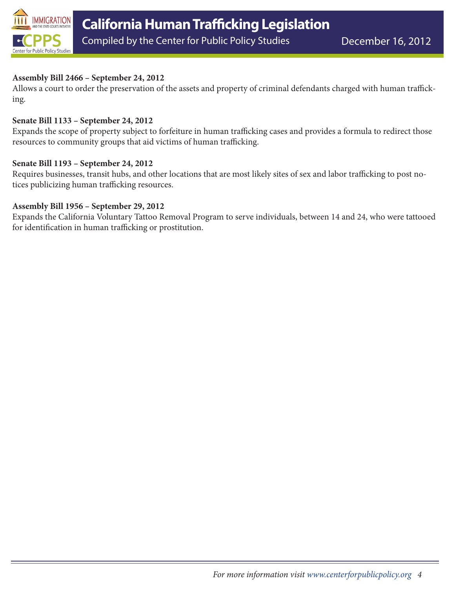

#### **Assembly Bill 2466 – September 24, 2012**

Allows a court to order the preservation of the assets and property of criminal defendants charged with human trafficking.

#### **Senate Bill 1133 – September 24, 2012**

Expands the scope of property subject to forfeiture in human trafficking cases and provides a formula to redirect those resources to community groups that aid victims of human trafficking.

#### **Senate Bill 1193 – September 24, 2012**

Requires businesses, transit hubs, and other locations that are most likely sites of sex and labor trafficking to post notices publicizing human trafficking resources.

#### **Assembly Bill 1956 – September 29, 2012**

Expands the California Voluntary Tattoo Removal Program to serve individuals, between 14 and 24, who were tattooed for identification in human trafficking or prostitution.